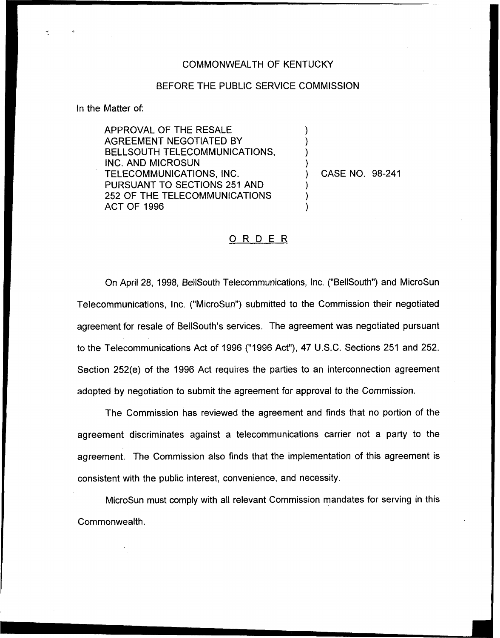## COMMONWEALTH OF KENTUCKY

## BEFORE THE PUBLIC SERVICE COMMISSION

) ) ) )

) ) )

fn the Matter of:

APPROVAL OF THE RESALE AGREEMENT NEGOTIATED BY BELLSOUTH TELECOMMUNICATIONS, INC. AND MICROSUN TELECOMMUNICATIONS, INC. PURSUANT TO SECTIONS 251 AND 252 OF THE TELECOMMUNICATIONS ACT OF 1996

) CASE NO. 98-241

## ORDER

On April 28, 1998, BellSouth Telecommunications, Inc. ("BellSouth") and MicroSun Telecommunications, Inc. ("MicroSun") submitted to the Commission their negotiated agreement for resale of BellSouth's services. The agreement was negotiated pursuant to the Telecommunications Act of 1996 ("1996Act"), 47 U.S.C. Sections 251 and 252, Section 252(e) of the 1996 Act requires the parties to an interconnection agreement adopted by negotiation to submit the agreement for approval to the Commission.

The Commission has reviewed the agreement and finds that no portion of the agreement. discriminates against a telecommunications carrier not a party to the agreement. The Commission also finds that the implementation of this agreement is consistent with the public interest, convenience, and necessity.

MicroSun must comply with all relevant Commission mandates for serving in this Commonwealth.